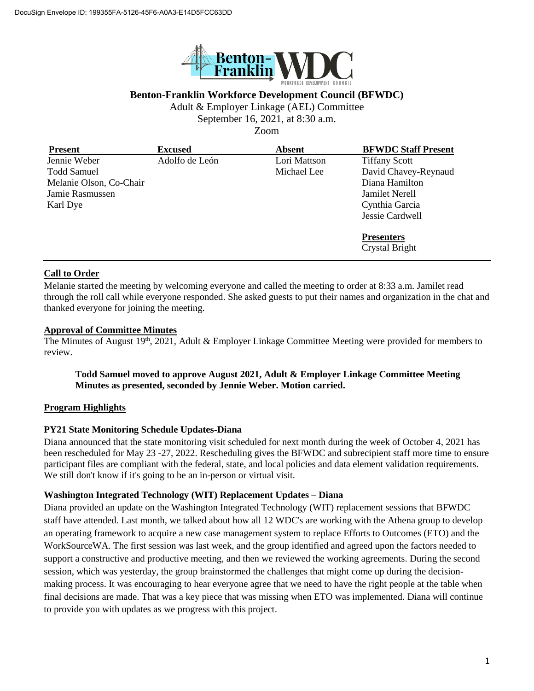

# **Benton-Franklin Workforce Development Council (BFWDC)**

Adult & Employer Linkage (AEL) Committee

September 16, 2021, at 8:30 a.m.

Zoom

| <b>Present</b>          | <b>Excused</b> | <b>Absent</b> | <b>BFWDC Staff Present</b> |
|-------------------------|----------------|---------------|----------------------------|
| Jennie Weber            | Adolfo de León | Lori Mattson  | <b>Tiffany Scott</b>       |
| <b>Todd Samuel</b>      |                | Michael Lee   | David Chavey-Reynaud       |
| Melanie Olson, Co-Chair |                |               | Diana Hamilton             |
| Jamie Rasmussen         |                |               | Jamilet Nerell             |
| Karl Dye                |                |               | Cynthia Garcia             |
|                         |                |               | Jessie Cardwell            |
|                         |                |               | <b>Presenters</b>          |
|                         |                |               | <b>Crystal Bright</b>      |

# **Call to Order**

Melanie started the meeting by welcoming everyone and called the meeting to order at 8:33 a.m. Jamilet read through the roll call while everyone responded. She asked guests to put their names and organization in the chat and thanked everyone for joining the meeting.

### **Approval of Committee Minutes**

The Minutes of August  $19<sup>th</sup>$ ,  $\overline{2021}$ , Adult & Employer Linkage Committee Meeting were provided for members to review.

### **Todd Samuel moved to approve August 2021, Adult & Employer Linkage Committee Meeting Minutes as presented, seconded by Jennie Weber. Motion carried.**

# **Program Highlights**

#### **PY21 State Monitoring Schedule Updates-Diana**

Diana announced that the state monitoring visit scheduled for next month during the week of October 4, 2021 has been rescheduled for May 23 -27, 2022. Rescheduling gives the BFWDC and subrecipient staff more time to ensure participant files are compliant with the federal, state, and local policies and data element validation requirements. We still don't know if it's going to be an in-person or virtual visit.

#### **Washington Integrated Technology (WIT) Replacement Updates – Diana**

Diana provided an update on the Washington Integrated Technology (WIT) replacement sessions that BFWDC staff have attended. Last month, we talked about how all 12 WDC's are working with the Athena group to develop an operating framework to acquire a new case management system to replace Efforts to Outcomes (ETO) and the WorkSourceWA. The first session was last week, and the group identified and agreed upon the factors needed to support a constructive and productive meeting, and then we reviewed the working agreements. During the second session, which was yesterday, the group brainstormed the challenges that might come up during the decisionmaking process. It was encouraging to hear everyone agree that we need to have the right people at the table when final decisions are made. That was a key piece that was missing when ETO was implemented. Diana will continue to provide you with updates as we progress with this project.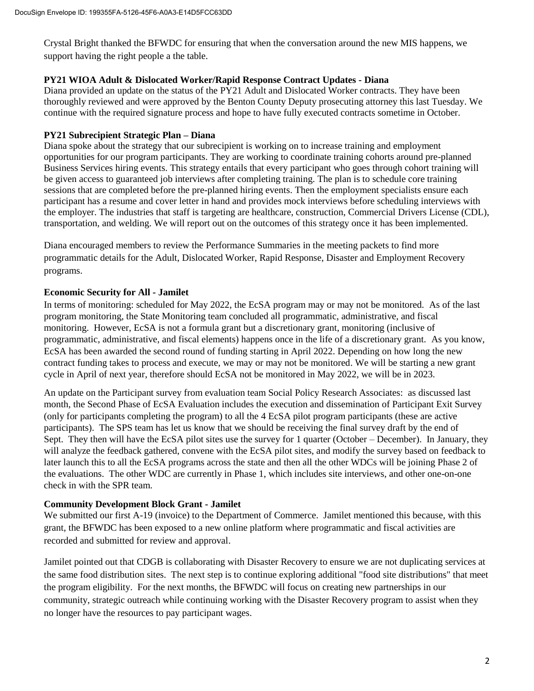Crystal Bright thanked the BFWDC for ensuring that when the conversation around the new MIS happens, we support having the right people a the table.

### **PY21 WIOA Adult & Dislocated Worker/Rapid Response Contract Updates - Diana**

Diana provided an update on the status of the PY21 Adult and Dislocated Worker contracts. They have been thoroughly reviewed and were approved by the Benton County Deputy prosecuting attorney this last Tuesday. We continue with the required signature process and hope to have fully executed contracts sometime in October.

## **PY21 Subrecipient Strategic Plan – Diana**

Diana spoke about the strategy that our subrecipient is working on to increase training and employment opportunities for our program participants. They are working to coordinate training cohorts around pre-planned Business Services hiring events. This strategy entails that every participant who goes through cohort training will be given access to guaranteed job interviews after completing training. The plan is to schedule core training sessions that are completed before the pre-planned hiring events. Then the employment specialists ensure each participant has a resume and cover letter in hand and provides mock interviews before scheduling interviews with the employer. The industries that staff is targeting are healthcare, construction, Commercial Drivers License (CDL), transportation, and welding. We will report out on the outcomes of this strategy once it has been implemented.

Diana encouraged members to review the Performance Summaries in the meeting packets to find more programmatic details for the Adult, Dislocated Worker, Rapid Response, Disaster and Employment Recovery programs.

# **Economic Security for All - Jamilet**

In terms of monitoring: scheduled for May 2022, the EcSA program may or may not be monitored. As of the last program monitoring, the State Monitoring team concluded all programmatic, administrative, and fiscal monitoring. However, EcSA is not a formula grant but a discretionary grant, monitoring (inclusive of programmatic, administrative, and fiscal elements) happens once in the life of a discretionary grant. As you know, EcSA has been awarded the second round of funding starting in April 2022. Depending on how long the new contract funding takes to process and execute, we may or may not be monitored. We will be starting a new grant cycle in April of next year, therefore should EcSA not be monitored in May 2022, we will be in 2023.

An update on the Participant survey from evaluation team Social Policy Research Associates: as discussed last month, the Second Phase of EcSA Evaluation includes the execution and dissemination of Participant Exit Survey (only for participants completing the program) to all the 4 EcSA pilot program participants (these are active participants). The SPS team has let us know that we should be receiving the final survey draft by the end of Sept. They then will have the EcSA pilot sites use the survey for 1 quarter (October – December). In January, they will analyze the feedback gathered, convene with the EcSA pilot sites, and modify the survey based on feedback to later launch this to all the EcSA programs across the state and then all the other WDCs will be joining Phase 2 of the evaluations. The other WDC are currently in Phase 1, which includes site interviews, and other one-on-one check in with the SPR team.

#### **Community Development Block Grant - Jamilet**

We submitted our first A-19 (invoice) to the Department of Commerce. Jamilet mentioned this because, with this grant, the BFWDC has been exposed to a new online platform where programmatic and fiscal activities are recorded and submitted for review and approval.

Jamilet pointed out that CDGB is collaborating with Disaster Recovery to ensure we are not duplicating services at the same food distribution sites. The next step is to continue exploring additional "food site distributions" that meet the program eligibility. For the next months, the BFWDC will focus on creating new partnerships in our community, strategic outreach while continuing working with the Disaster Recovery program to assist when they no longer have the resources to pay participant wages.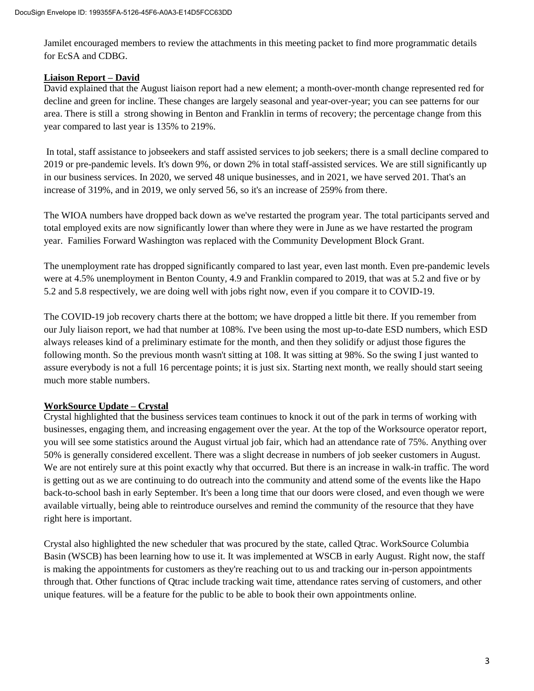Jamilet encouraged members to review the attachments in this meeting packet to find more programmatic details for EcSA and CDBG.

# **Liaison Report – David**

David explained that the August liaison report had a new element; a month-over-month change represented red for decline and green for incline. These changes are largely seasonal and year-over-year; you can see patterns for our area. There is still a strong showing in Benton and Franklin in terms of recovery; the percentage change from this year compared to last year is 135% to 219%.

In total, staff assistance to jobseekers and staff assisted services to job seekers; there is a small decline compared to 2019 or pre-pandemic levels. It's down 9%, or down 2% in total staff-assisted services. We are still significantly up in our business services. In 2020, we served 48 unique businesses, and in 2021, we have served 201. That's an increase of 319%, and in 2019, we only served 56, so it's an increase of 259% from there.

The WIOA numbers have dropped back down as we've restarted the program year. The total participants served and total employed exits are now significantly lower than where they were in June as we have restarted the program year. Families Forward Washington was replaced with the Community Development Block Grant.

The unemployment rate has dropped significantly compared to last year, even last month. Even pre-pandemic levels were at 4.5% unemployment in Benton County, 4.9 and Franklin compared to 2019, that was at 5.2 and five or by 5.2 and 5.8 respectively, we are doing well with jobs right now, even if you compare it to COVID-19.

The COVID-19 job recovery charts there at the bottom; we have dropped a little bit there. If you remember from our July liaison report, we had that number at 108%. I've been using the most up-to-date ESD numbers, which ESD always releases kind of a preliminary estimate for the month, and then they solidify or adjust those figures the following month. So the previous month wasn't sitting at 108. It was sitting at 98%. So the swing I just wanted to assure everybody is not a full 16 percentage points; it is just six. Starting next month, we really should start seeing much more stable numbers.

# **WorkSource Update – Crystal**

Crystal highlighted that the business services team continues to knock it out of the park in terms of working with businesses, engaging them, and increasing engagement over the year. At the top of the Worksource operator report, you will see some statistics around the August virtual job fair, which had an attendance rate of 75%. Anything over 50% is generally considered excellent. There was a slight decrease in numbers of job seeker customers in August. We are not entirely sure at this point exactly why that occurred. But there is an increase in walk-in traffic. The word is getting out as we are continuing to do outreach into the community and attend some of the events like the Hapo back-to-school bash in early September. It's been a long time that our doors were closed, and even though we were available virtually, being able to reintroduce ourselves and remind the community of the resource that they have right here is important.

Crystal also highlighted the new scheduler that was procured by the state, called Qtrac. WorkSource Columbia Basin (WSCB) has been learning how to use it. It was implemented at WSCB in early August. Right now, the staff is making the appointments for customers as they're reaching out to us and tracking our in-person appointments through that. Other functions of Qtrac include tracking wait time, attendance rates serving of customers, and other unique features. will be a feature for the public to be able to book their own appointments online.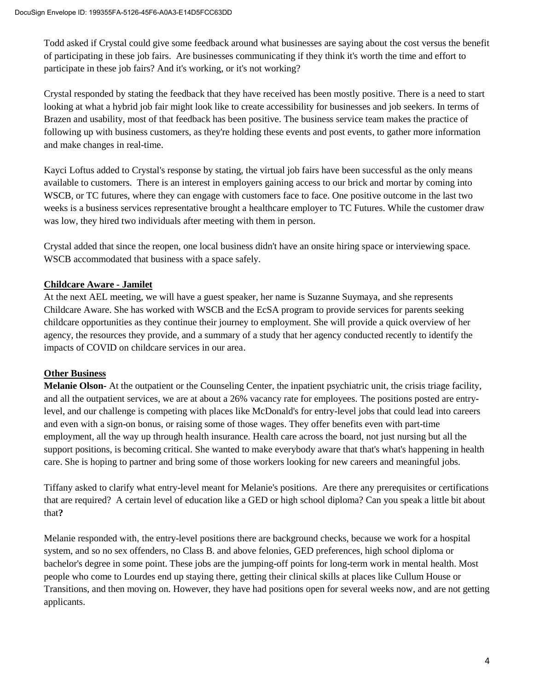Todd asked if Crystal could give some feedback around what businesses are saying about the cost versus the benefit of participating in these job fairs. Are businesses communicating if they think it's worth the time and effort to participate in these job fairs? And it's working, or it's not working?

Crystal responded by stating the feedback that they have received has been mostly positive. There is a need to start looking at what a hybrid job fair might look like to create accessibility for businesses and job seekers. In terms of Brazen and usability, most of that feedback has been positive. The business service team makes the practice of following up with business customers, as they're holding these events and post events, to gather more information and make changes in real-time.

Kayci Loftus added to Crystal's response by stating, the virtual job fairs have been successful as the only means available to customers. There is an interest in employers gaining access to our brick and mortar by coming into WSCB, or TC futures, where they can engage with customers face to face. One positive outcome in the last two weeks is a business services representative brought a healthcare employer to TC Futures. While the customer draw was low, they hired two individuals after meeting with them in person.

Crystal added that since the reopen, one local business didn't have an onsite hiring space or interviewing space. WSCB accommodated that business with a space safely.

# **Childcare Aware - Jamilet**

At the next AEL meeting, we will have a guest speaker, her name is Suzanne Suymaya, and she represents Childcare Aware. She has worked with WSCB and the EcSA program to provide services for parents seeking childcare opportunities as they continue their journey to employment. She will provide a quick overview of her agency, the resources they provide, and a summary of a study that her agency conducted recently to identify the impacts of COVID on childcare services in our area.

# **Other Business**

**Melanie Olson-** At the outpatient or the Counseling Center, the inpatient psychiatric unit, the crisis triage facility, and all the outpatient services, we are at about a 26% vacancy rate for employees. The positions posted are entrylevel, and our challenge is competing with places like McDonald's for entry-level jobs that could lead into careers and even with a sign-on bonus, or raising some of those wages. They offer benefits even with part-time employment, all the way up through health insurance. Health care across the board, not just nursing but all the support positions, is becoming critical. She wanted to make everybody aware that that's what's happening in health care. She is hoping to partner and bring some of those workers looking for new careers and meaningful jobs.

Tiffany asked to clarify what entry-level meant for Melanie's positions. Are there any prerequisites or certifications that are required? A certain level of education like a GED or high school diploma? Can you speak a little bit about that**?**

Melanie responded with, the entry-level positions there are background checks, because we work for a hospital system, and so no sex offenders, no Class B. and above felonies, GED preferences, high school diploma or bachelor's degree in some point. These jobs are the jumping-off points for long-term work in mental health. Most people who come to Lourdes end up staying there, getting their clinical skills at places like Cullum House or Transitions, and then moving on. However, they have had positions open for several weeks now, and are not getting applicants.